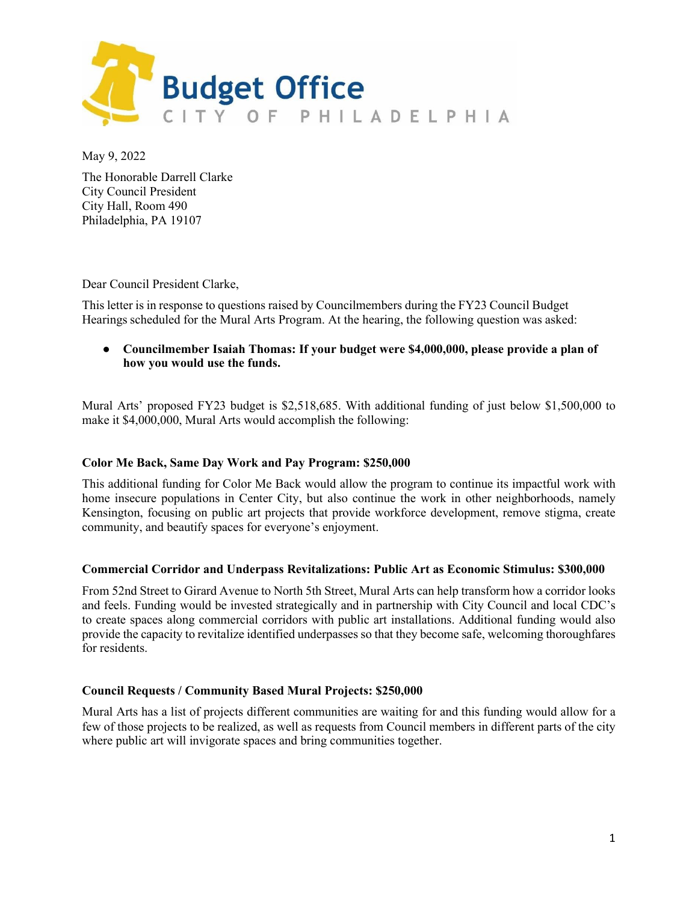

May 9, 2022

The Honorable Darrell Clarke City Council President City Hall, Room 490 Philadelphia, PA 19107

Dear Council President Clarke,

This letter is in response to questions raised by Councilmembers during the FY23 Council Budget Hearings scheduled for the Mural Arts Program. At the hearing, the following question was asked:

● **Councilmember Isaiah Thomas: If your budget were \$4,000,000, please provide a plan of how you would use the funds.**

Mural Arts' proposed FY23 budget is \$2,518,685. With additional funding of just below \$1,500,000 to make it \$4,000,000, Mural Arts would accomplish the following:

# **Color Me Back, Same Day Work and Pay Program: \$250,000**

This additional funding for Color Me Back would allow the program to continue its impactful work with home insecure populations in Center City, but also continue the work in other neighborhoods, namely Kensington, focusing on public art projects that provide workforce development, remove stigma, create community, and beautify spaces for everyone's enjoyment.

# **Commercial Corridor and Underpass Revitalizations: Public Art as Economic Stimulus: \$300,000**

From 52nd Street to Girard Avenue to North 5th Street, Mural Arts can help transform how a corridor looks and feels. Funding would be invested strategically and in partnership with City Council and local CDC's to create spaces along commercial corridors with public art installations. Additional funding would also provide the capacity to revitalize identified underpasses so that they become safe, welcoming thoroughfares for residents.

# **Council Requests / Community Based Mural Projects: \$250,000**

Mural Arts has a list of projects different communities are waiting for and this funding would allow for a few of those projects to be realized, as well as requests from Council members in different parts of the city where public art will invigorate spaces and bring communities together.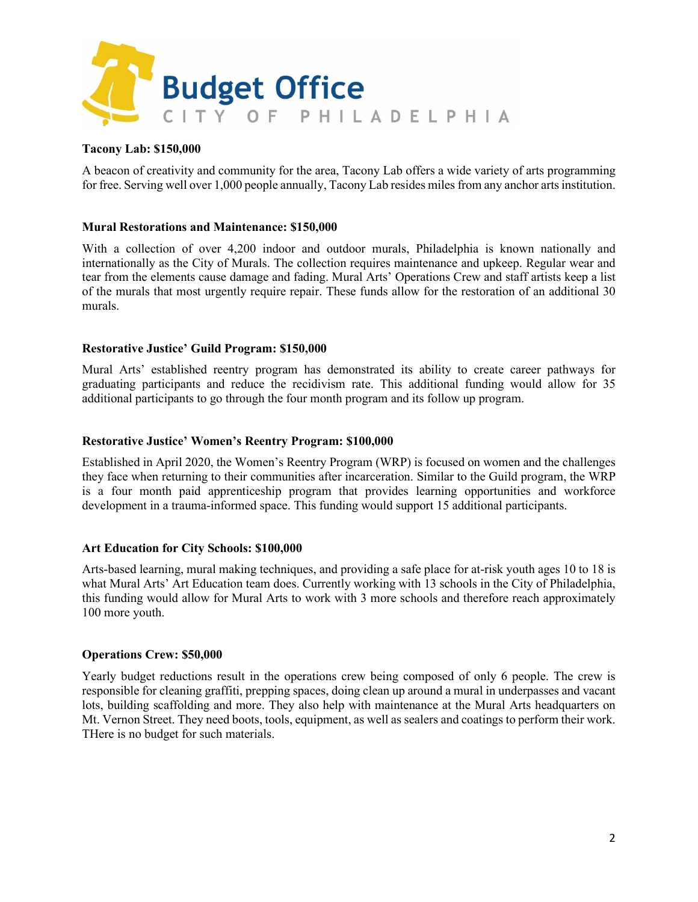

# **Tacony Lab: \$150,000**

A beacon of creativity and community for the area, Tacony Lab offers a wide variety of arts programming for free. Serving well over 1,000 people annually, Tacony Lab resides miles from any anchor arts institution.

#### **Mural Restorations and Maintenance: \$150,000**

With a collection of over 4,200 indoor and outdoor murals, Philadelphia is known nationally and internationally as the City of Murals. The collection requires maintenance and upkeep. Regular wear and tear from the elements cause damage and fading. Mural Arts' Operations Crew and staff artists keep a list of the murals that most urgently require repair. These funds allow for the restoration of an additional 30 murals.

#### **Restorative Justice' Guild Program: \$150,000**

Mural Arts' established reentry program has demonstrated its ability to create career pathways for graduating participants and reduce the recidivism rate. This additional funding would allow for 35 additional participants to go through the four month program and its follow up program.

#### **Restorative Justice' Women's Reentry Program: \$100,000**

Established in April 2020, the Women's Reentry Program (WRP) is focused on women and the challenges they face when returning to their communities after incarceration. Similar to the Guild program, the WRP is a four month paid apprenticeship program that provides learning opportunities and workforce development in a trauma-informed space. This funding would support 15 additional participants.

# **Art Education for City Schools: \$100,000**

Arts-based learning, mural making techniques, and providing a safe place for at-risk youth ages 10 to 18 is what Mural Arts' Art Education team does. Currently working with 13 schools in the City of Philadelphia, this funding would allow for Mural Arts to work with 3 more schools and therefore reach approximately 100 more youth.

#### **Operations Crew: \$50,000**

Yearly budget reductions result in the operations crew being composed of only 6 people. The crew is responsible for cleaning graffiti, prepping spaces, doing clean up around a mural in underpasses and vacant lots, building scaffolding and more. They also help with maintenance at the Mural Arts headquarters on Mt. Vernon Street. They need boots, tools, equipment, as well as sealers and coatings to perform their work. THere is no budget for such materials.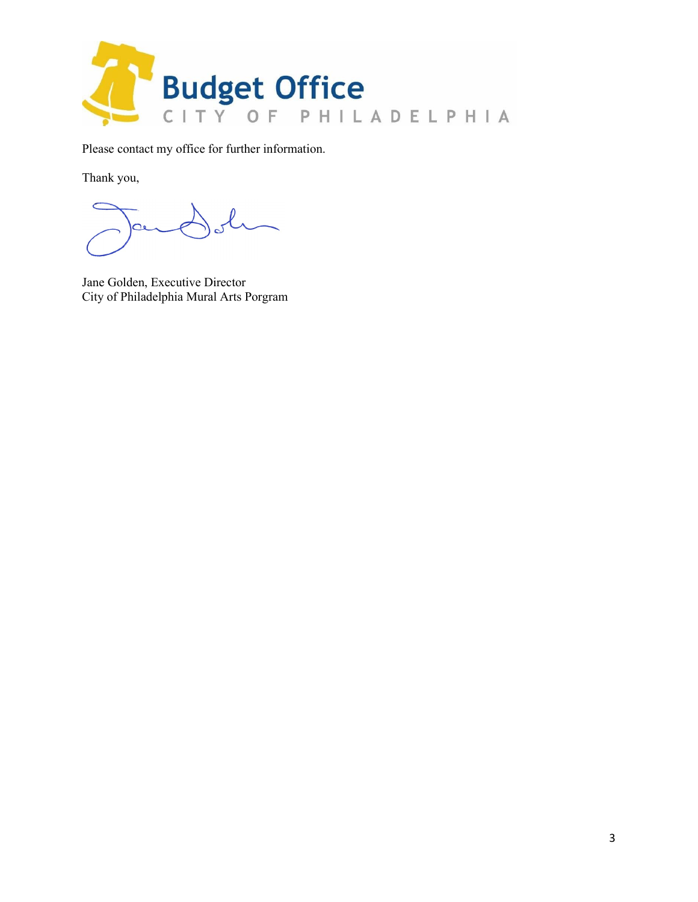

Please contact my office for further information.

Thank you,

 $\alpha$ 

Jane Golden, Executive Director City of Philadelphia Mural Arts Porgram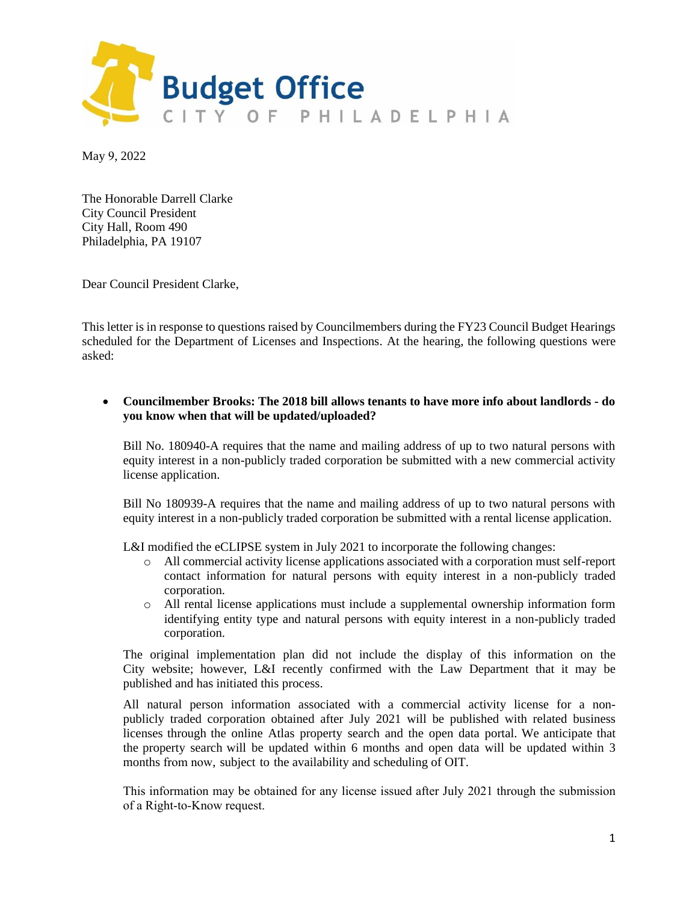

May 9, 2022

The Honorable Darrell Clarke City Council President City Hall, Room 490 Philadelphia, PA 19107

Dear Council President Clarke,

This letter is in response to questions raised by Councilmembers during the FY23 Council Budget Hearings scheduled for the Department of Licenses and Inspections. At the hearing, the following questions were asked:

#### • **Councilmember Brooks: The 2018 bill allows tenants to have more info about landlords - do you know when that will be updated/uploaded?**

Bill No. 180940-A requires that the name and mailing address of up to two natural persons with equity interest in a non-publicly traded corporation be submitted with a new commercial activity license application.

Bill No 180939-A requires that the name and mailing address of up to two natural persons with equity interest in a non-publicly traded corporation be submitted with a rental license application.

L&I modified the eCLIPSE system in July 2021 to incorporate the following changes:

- o All commercial activity license applications associated with a corporation must self-report contact information for natural persons with equity interest in a non-publicly traded corporation.
- o All rental license applications must include a supplemental ownership information form identifying entity type and natural persons with equity interest in a non-publicly traded corporation.

The original implementation plan did not include the display of this information on the City website; however, L&I recently confirmed with the Law Department that it may be published and has initiated this process.

All natural person information associated with a commercial activity license for a nonpublicly traded corporation obtained after July 2021 will be published with related business licenses through the online Atlas property search and the open data portal. We anticipate that the property search will be updated within 6 months and open data will be updated within 3 months from now, subject to the availability and scheduling of OIT.

This information may be obtained for any license issued after July 2021 through the submission of a Right-to-Know request.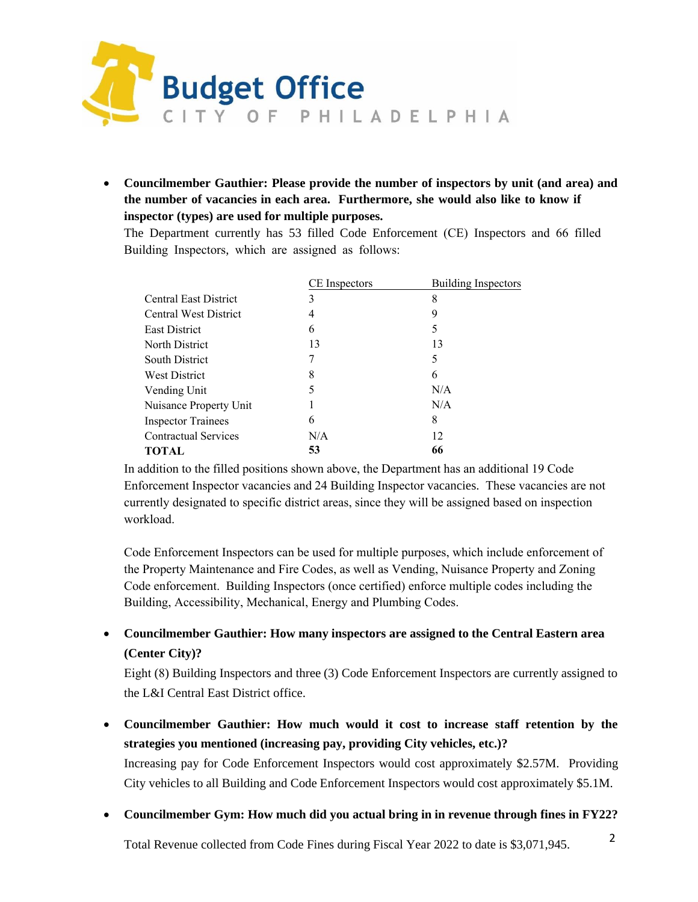

• **Councilmember Gauthier: Please provide the number of inspectors by unit (and area) and the number of vacancies in each area. Furthermore, she would also like to know if inspector (types) are used for multiple purposes.**

The Department currently has 53 filled Code Enforcement (CE) Inspectors and 66 filled Building Inspectors, which are assigned as follows:

|                              | CE Inspectors | <b>Building Inspectors</b> |
|------------------------------|---------------|----------------------------|
| Central East District        | 3             | 8                          |
| <b>Central West District</b> | 4             | 9                          |
| <b>East District</b>         | 6             | 5                          |
| North District               | 13            | 13                         |
| <b>South District</b>        |               | 5                          |
| <b>West District</b>         | 8             | 6                          |
| Vending Unit                 | 5             | N/A                        |
| Nuisance Property Unit       |               | N/A                        |
| <b>Inspector Trainees</b>    | 6             | 8                          |
| <b>Contractual Services</b>  | N/A           | 12                         |
| <b>TOTAL</b>                 | 53            | 66                         |

In addition to the filled positions shown above, the Department has an additional 19 Code Enforcement Inspector vacancies and 24 Building Inspector vacancies. These vacancies are not currently designated to specific district areas, since they will be assigned based on inspection workload.

Code Enforcement Inspectors can be used for multiple purposes, which include enforcement of the Property Maintenance and Fire Codes, as well as Vending, Nuisance Property and Zoning Code enforcement. Building Inspectors (once certified) enforce multiple codes including the Building, Accessibility, Mechanical, Energy and Plumbing Codes.

# • **Councilmember Gauthier: How many inspectors are assigned to the Central Eastern area (Center City)?**

Eight (8) Building Inspectors and three (3) Code Enforcement Inspectors are currently assigned to the L&I Central East District office.

• **Councilmember Gauthier: How much would it cost to increase staff retention by the strategies you mentioned (increasing pay, providing City vehicles, etc.)?**

Increasing pay for Code Enforcement Inspectors would cost approximately \$2.57M. Providing City vehicles to all Building and Code Enforcement Inspectors would cost approximately \$5.1M.

• **Councilmember Gym: How much did you actual bring in in revenue through fines in FY22?**

Total Revenue collected from Code Fines during Fiscal Year 2022 to date is \$3,071,945.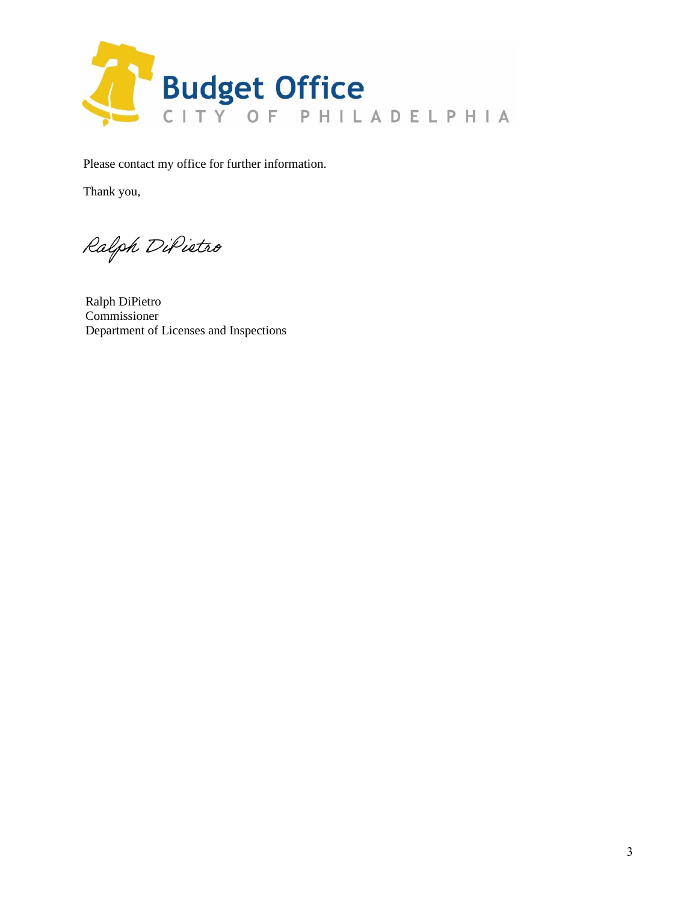

Please contact my office for further information.

Thank you,

Ralph DiPietro

Ralph DiPietro Commissioner Department of Licenses and Inspections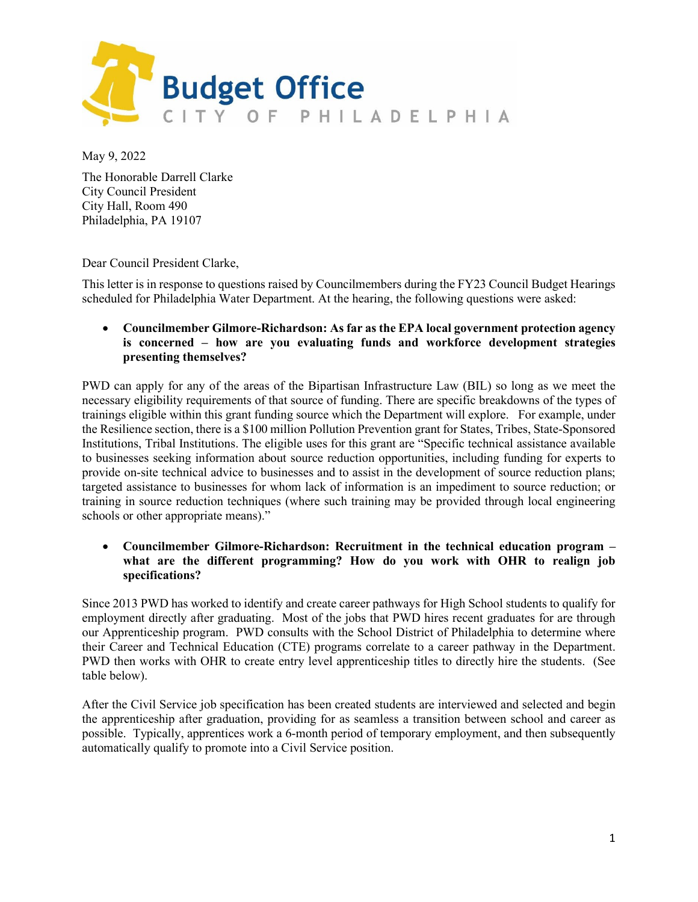

May 9, 2022

The Honorable Darrell Clarke City Council President City Hall, Room 490 Philadelphia, PA 19107

Dear Council President Clarke,

This letter is in response to questions raised by Councilmembers during the FY23 Council Budget Hearings scheduled for Philadelphia Water Department. At the hearing, the following questions were asked:

• **Councilmember Gilmore-Richardson: As far as the EPA local government protection agency is concerned – how are you evaluating funds and workforce development strategies presenting themselves?**

PWD can apply for any of the areas of the Bipartisan Infrastructure Law (BIL) so long as we meet the necessary eligibility requirements of that source of funding. There are specific breakdowns of the types of trainings eligible within this grant funding source which the Department will explore. For example, under the Resilience section, there is a \$100 million Pollution Prevention grant for States, Tribes, State-Sponsored Institutions, Tribal Institutions. The eligible uses for this grant are "Specific technical assistance available to businesses seeking information about source reduction opportunities, including funding for experts to provide on-site technical advice to businesses and to assist in the development of source reduction plans; targeted assistance to businesses for whom lack of information is an impediment to source reduction; or training in source reduction techniques (where such training may be provided through local engineering schools or other appropriate means)."

• **Councilmember Gilmore-Richardson: Recruitment in the technical education program – what are the different programming? How do you work with OHR to realign job specifications?**

Since 2013 PWD has worked to identify and create career pathways for High School students to qualify for employment directly after graduating. Most of the jobs that PWD hires recent graduates for are through our Apprenticeship program. PWD consults with the School District of Philadelphia to determine where their Career and Technical Education (CTE) programs correlate to a career pathway in the Department. PWD then works with OHR to create entry level apprenticeship titles to directly hire the students. (See table below).

After the Civil Service job specification has been created students are interviewed and selected and begin the apprenticeship after graduation, providing for as seamless a transition between school and career as possible. Typically, apprentices work a 6-month period of temporary employment, and then subsequently automatically qualify to promote into a Civil Service position.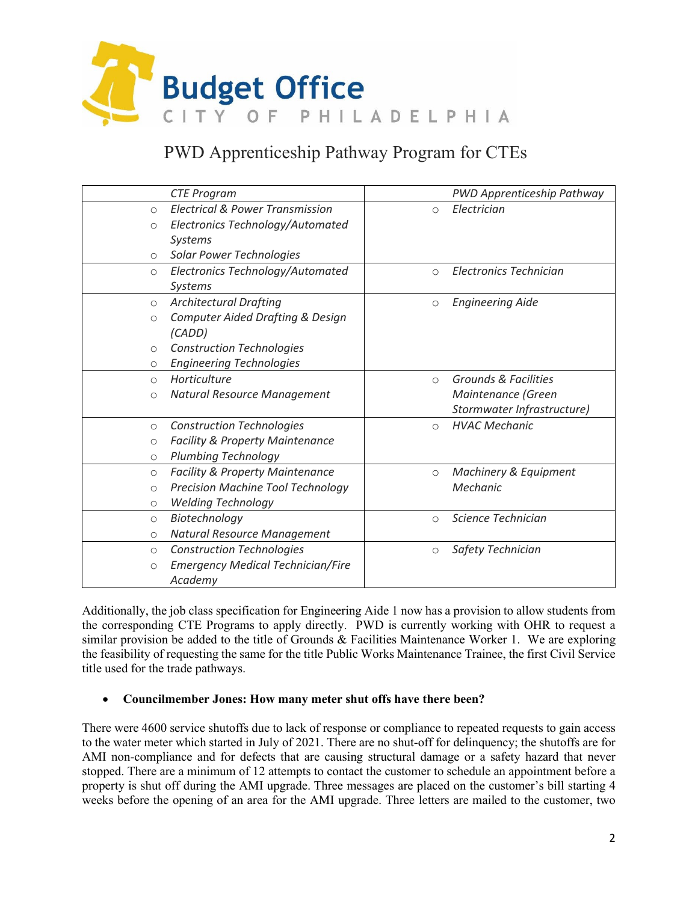

# PWD Apprenticeship Pathway Program for CTEs

|                     | <b>CTE Program</b>                          |                     | PWD Apprenticeship Pathway |
|---------------------|---------------------------------------------|---------------------|----------------------------|
| $\circ$             | <b>Electrical &amp; Power Transmission</b>  | $\circ$             | Electrician                |
| $\circ$             | Electronics Technology/Automated            |                     |                            |
|                     | Systems                                     |                     |                            |
| $\circ$             | <b>Solar Power Technologies</b>             |                     |                            |
| $\circ$             | Electronics Technology/Automated            | $\bigcirc$          | Electronics Technician     |
|                     | <b>Systems</b>                              |                     |                            |
| $\circ$             | <b>Architectural Drafting</b>               | $\circlearrowright$ | <b>Engineering Aide</b>    |
| $\circ$             | <b>Computer Aided Drafting &amp; Design</b> |                     |                            |
|                     | (CADD)                                      |                     |                            |
| $\circ$             | <b>Construction Technologies</b>            |                     |                            |
| $\circ$             | <b>Engineering Technologies</b>             |                     |                            |
| $\circ$             | Horticulture                                | $\bigcirc$          | Grounds & Facilities       |
| $\circ$             | Natural Resource Management                 |                     | Maintenance (Green         |
|                     |                                             |                     | Stormwater Infrastructure) |
| $\circ$             | <b>Construction Technologies</b>            | $\circ$             | <b>HVAC Mechanic</b>       |
| $\circ$             | <b>Facility &amp; Property Maintenance</b>  |                     |                            |
| $\circ$             | <b>Plumbing Technology</b>                  |                     |                            |
| $\circ$             | <b>Facility &amp; Property Maintenance</b>  | $\circ$             | Machinery & Equipment      |
| $\circ$             | <b>Precision Machine Tool Technology</b>    |                     | Mechanic                   |
| $\circ$             | <b>Welding Technology</b>                   |                     |                            |
| $\circ$             | Biotechnology                               | $\bigcirc$          | Science Technician         |
| $\circ$             | Natural Resource Management                 |                     |                            |
| $\circ$             | <b>Construction Technologies</b>            | $\circlearrowright$ | Safety Technician          |
| $\circlearrowright$ | <b>Emergency Medical Technician/Fire</b>    |                     |                            |
|                     | Academy                                     |                     |                            |

Additionally, the job class specification for Engineering Aide 1 now has a provision to allow students from the corresponding CTE Programs to apply directly. PWD is currently working with OHR to request a similar provision be added to the title of Grounds & Facilities Maintenance Worker 1. We are exploring the feasibility of requesting the same for the title Public Works Maintenance Trainee, the first Civil Service title used for the trade pathways.

# • **Councilmember Jones: How many meter shut offs have there been?**

There were 4600 service shutoffs due to lack of response or compliance to repeated requests to gain access to the water meter which started in July of 2021. There are no shut-off for delinquency; the shutoffs are for AMI non-compliance and for defects that are causing structural damage or a safety hazard that never stopped. There are a minimum of 12 attempts to contact the customer to schedule an appointment before a property is shut off during the AMI upgrade. Three messages are placed on the customer's bill starting 4 weeks before the opening of an area for the AMI upgrade. Three letters are mailed to the customer, two